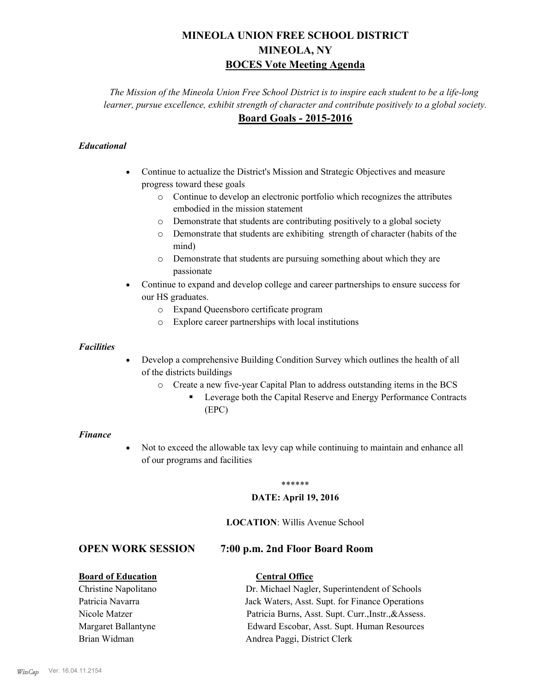# **MINEOLA UNION FREE SCHOOL DISTRICT MINEOLA, NY BOCES Vote Meeting Agenda**

*The Mission of the Mineola Union Free School District is to inspire each student to be a life-long learner, pursue excellence, exhibit strength of character and contribute positively to a global society.* **Board Goals - 2015-2016**

## *Educational*

- · Continue to actualize the District's Mission and Strategic Objectives and measure progress toward these goals
	- o Continue to develop an electronic portfolio which recognizes the attributes embodied in the mission statement
	- o Demonstrate that students are contributing positively to a global society
	- o Demonstrate that students are exhibiting strength of character (habits of the mind)
	- o Demonstrate that students are pursuing something about which they are passionate
- Continue to expand and develop college and career partnerships to ensure success for our HS graduates.
	- o Expand Queensboro certificate program
	- o Explore career partnerships with local institutions

#### *Facilities*

- Develop a comprehensive Building Condition Survey which outlines the health of all of the districts buildings
	- o Create a new five-year Capital Plan to address outstanding items in the BCS
		- § Leverage both the Capital Reserve and Energy Performance Contracts (EPC)

#### *Finance*

• Not to exceed the allowable tax levy cap while continuing to maintain and enhance all of our programs and facilities

#### \*\*\*\*\*\*

### **DATE: April 19, 2016**

### **LOCATION**: Willis Avenue School

# **OPEN WORK SESSION 7:00 p.m. 2nd Floor Board Room**

### **Board of Education Central Office**

Christine Napolitano Dr. Michael Nagler, Superintendent of Schools Patricia Navarra Jack Waters, Asst. Supt. for Finance Operations Nicole Matzer Patricia Burns, Asst. Supt. Curr.,Instr.,&Assess. Margaret Ballantyne Edward Escobar, Asst. Supt. Human Resources Brian Widman **Andrea Paggi, District Clerk**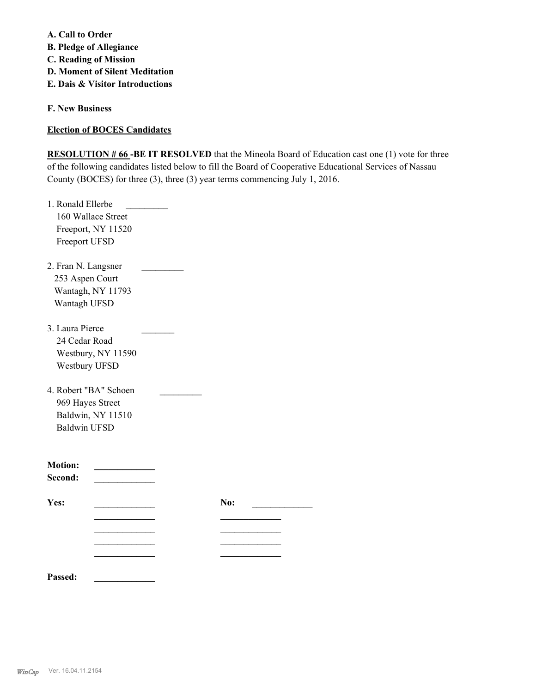**A. Call to Order** 

**B. Pledge of Allegiance**

**C. Reading of Mission**

- **D. Moment of Silent Meditation**
- **E. Dais & Visitor Introductions**

**F. New Business**

**Election of BOCES Candidates**

**RESOLUTION # 66 -BE IT RESOLVED** that the Mineola Board of Education cast one (1) vote for three of the following candidates listed below to fill the Board of Cooperative Educational Services of Nassau County (BOCES) for three (3), three (3) year terms commencing July 1, 2016.

| 1. Ronald Ellerbe     |     |  |
|-----------------------|-----|--|
| 160 Wallace Street    |     |  |
| Freeport, NY 11520    |     |  |
| Freeport UFSD         |     |  |
|                       |     |  |
| 2. Fran N. Langsner   |     |  |
| 253 Aspen Court       |     |  |
| Wantagh, NY 11793     |     |  |
| Wantagh UFSD          |     |  |
|                       |     |  |
| 3. Laura Pierce       |     |  |
| 24 Cedar Road         |     |  |
| Westbury, NY 11590    |     |  |
| Westbury UFSD         |     |  |
| 4. Robert "BA" Schoen |     |  |
| 969 Hayes Street      |     |  |
| Baldwin, NY 11510     |     |  |
| <b>Baldwin UFSD</b>   |     |  |
|                       |     |  |
| <b>Motion:</b>        |     |  |
| Second:               |     |  |
|                       |     |  |
| Yes:                  | No: |  |
|                       |     |  |
|                       |     |  |
|                       |     |  |
|                       |     |  |
|                       |     |  |

**Passed: \_\_\_\_\_\_\_\_\_\_\_\_\_**